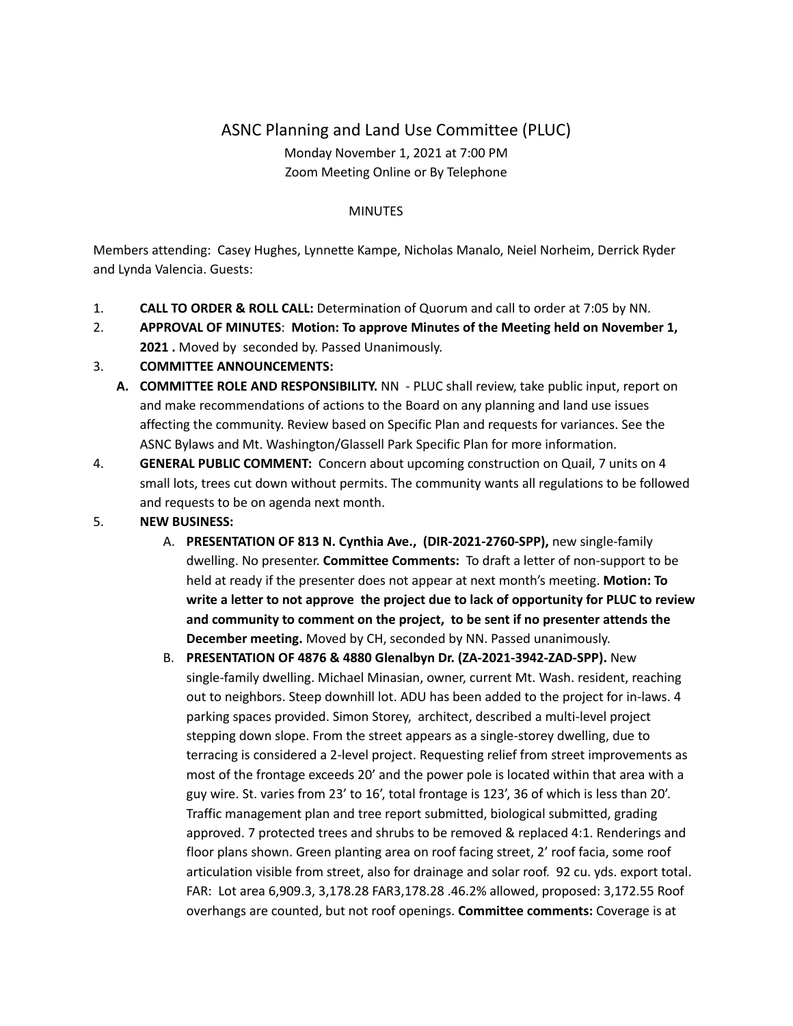## ASNC Planning and Land Use Committee (PLUC) Monday November 1, 2021 at 7:00 PM Zoom Meeting Online or By Telephone

## **MINUTES**

Members attending: Casey Hughes, Lynnette Kampe, Nicholas Manalo, Neiel Norheim, Derrick Ryder and Lynda Valencia. Guests:

- 1. **CALL TO ORDER & ROLL CALL:** Determination of Quorum and call to order at 7:05 by NN.
- 2. **APPROVAL OF MINUTES**: **Motion: To approve Minutes of the Meeting held on November 1, 2021 .** Moved by seconded by. Passed Unanimously.

## 3. **COMMITTEE ANNOUNCEMENTS:**

- **A. COMMITTEE ROLE AND RESPONSIBILITY.** NN PLUC shall review, take public input, report on and make recommendations of actions to the Board on any planning and land use issues affecting the community. Review based on Specific Plan and requests for variances. See the ASNC Bylaws and Mt. Washington/Glassell Park Specific Plan for more information.
- 4. **GENERAL PUBLIC COMMENT:** Concern about upcoming construction on Quail, 7 units on 4 small lots, trees cut down without permits. The community wants all regulations to be followed and requests to be on agenda next month.
- 5. **NEW BUSINESS:**
	- A. **PRESENTATION OF 813 N. Cynthia Ave., (DIR-2021-2760-SPP),** new single-family dwelling. No presenter. **Committee Comments:** To draft a letter of non-support to be held at ready if the presenter does not appear at next month's meeting. **Motion: To write a letter to not approve the project due to lack of opportunity for PLUC to review and community to comment on the project, to be sent if no presenter attends the December meeting.** Moved by CH, seconded by NN. Passed unanimously.
	- B. **PRESENTATION OF 4876 & 4880 Glenalbyn Dr. (ZA-2021-3942-ZAD-SPP).** New single-family dwelling. Michael Minasian, owner, current Mt. Wash. resident, reaching out to neighbors. Steep downhill lot. ADU has been added to the project for in-laws. 4 parking spaces provided. Simon Storey, architect, described a multi-level project stepping down slope. From the street appears as a single-storey dwelling, due to terracing is considered a 2-level project. Requesting relief from street improvements as most of the frontage exceeds 20' and the power pole is located within that area with a guy wire. St. varies from 23' to 16', total frontage is 123', 36 of which is less than 20'. Traffic management plan and tree report submitted, biological submitted, grading approved. 7 protected trees and shrubs to be removed & replaced 4:1. Renderings and floor plans shown. Green planting area on roof facing street, 2' roof facia, some roof articulation visible from street, also for drainage and solar roof. 92 cu. yds. export total. FAR: Lot area 6,909.3, 3,178.28 FAR3,178.28 .46.2% allowed, proposed: 3,172.55 Roof overhangs are counted, but not roof openings. **Committee comments:** Coverage is at